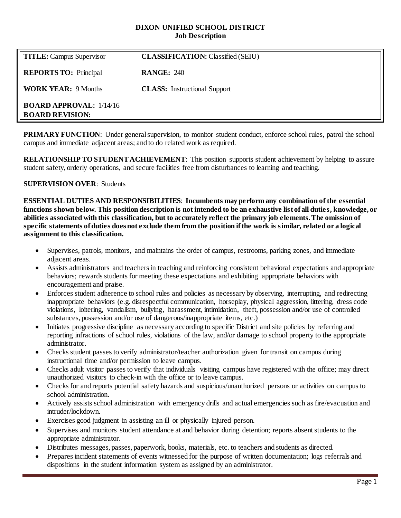#### **DIXON UNIFIED SCHOOL DISTRICT Job Description**

| <b>TITLE:</b> Campus Supervisor                          | <b>CLASSIFICATION:</b> Classified (SEIU) |
|----------------------------------------------------------|------------------------------------------|
| <b>REPORTS TO:</b> Principal                             | <b>RANGE: 240</b>                        |
| <b>WORK YEAR: 9 Months</b>                               | <b>CLASS:</b> Instructional Support      |
| <b>BOARD APPROVAL: 1/14/16</b><br><b>BOARD REVISION:</b> |                                          |

**PRIMARY FUNCTION:** Under general supervision, to monitor student conduct, enforce school rules, patrol the school campus and immediate adjacent areas; and to do related work as required.

**RELATIONSHIP TO STUDENT ACHIEVEMENT**: This position supports student achievement by helping to assure student safety, orderly operations, and secure facilities free from disturbances to learning and teaching.

#### **SUPERVISION OVER**: Students

**ESSENTIAL DUTIES AND RESPONSIBILITIES**: **Incumbents may perform any combination of the essential functions shown below. This position description is not intended to be an exhaustive list of all duties, knowledge, or abilities associated with this classification, but to accurately reflect the primary job elements. The omission of specific statements of duties does not exclude them from the position if the work is similar, related or a logical assignment to this classification.**

- Supervises, patrols, monitors, and maintains the order of campus, restrooms, parking zones, and immediate adjacent areas.
- Assists administrators and teachers in teaching and reinforcing consistent behavioral expectations and appropriate behaviors; rewards students for meeting these expectations and exhibiting appropriate behaviors with encouragement and praise.
- Enforces student adherence to school rules and policies as necessary by observing, interrupting, and redirecting inappropriate behaviors (e.g. disrespectful communication, horseplay, physical aggression, littering, dress code violations, loitering, vandalism, bullying, harassment, intimidation, theft, possession and/or use of controlled substances, possession and/or use of dangerous/inappropriate items, etc.)
- Initiates progressive discipline as necessary according to specific District and site policies by referring and reporting infractions of school rules, violations of the law, and/or damage to school property to the appropriate administrator.
- Checks student passes to verify administrator/teacher authorization given for transit on campus during instructional time and/or permission to leave campus.
- Checks adult visitor passes to verify that individuals visiting campus have registered with the office; may direct unauthorized visitors to check-in with the office or to leave campus.
- Checks for and reports potential safety hazards and suspicious/unauthorized persons or activities on campus to school administration.
- Actively assists school administration with emergency drills and actual emergencies such as fire/evacuation and intruder/lockdown.
- Exercises good judgment in assisting an ill or physically injured person.
- Supervises and monitors student attendance at and behavior during detention; reports absent students to the appropriate administrator.
- Distributes messages, passes, paperwork, books, materials, etc. to teachers and students as directed.
- Prepares incident statements of events witnessed for the purpose of written documentation; logs referrals and dispositions in the student information system as assigned by an administrator.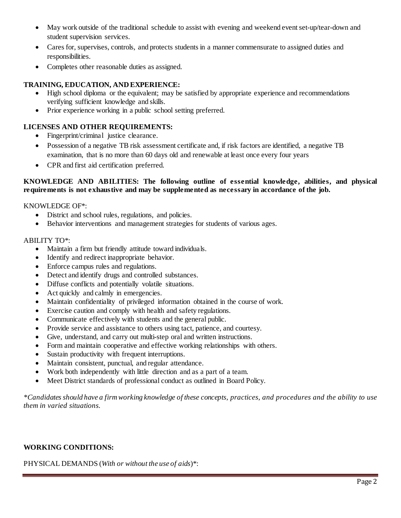- May work outside of the traditional schedule to assist with evening and weekend event set-up/tear-down and student supervision services.
- Cares for, supervises, controls, and protects students in a manner commensurate to assigned duties and responsibilities.
- Completes other reasonable duties as assigned.

## **TRAINING, EDUCATION, AND EXPERIENCE:**

- High school diploma or the equivalent; may be satisfied by appropriate experience and recommendations verifying sufficient knowledge and skills.
- Prior experience working in a public school setting preferred.

# **LICENSES AND OTHER REQUIREMENTS:**

- Fingerprint/criminal justice clearance.
- Possession of a negative TB risk assessment certificate and, if risk factors are identified, a negative TB examination, that is no more than 60 days old and renewable at least once every four years
- CPR and first aid certification preferred.

#### **KNOWLEDGE AND ABILITIES: The following outline of essential knowledge, abilities, and physical requirements is not exhaustive and may be supplemented as necessary in accordance of the job.**

#### KNOWLEDGE OF\*:

- District and school rules, regulations, and policies.
- Behavior interventions and management strategies for students of various ages.

#### ABILITY TO\*:

- Maintain a firm but friendly attitude toward individuals.
- Identify and redirect inappropriate behavior.
- Enforce campus rules and regulations.
- Detect and identify drugs and controlled substances.
- Diffuse conflicts and potentially volatile situations.
- Act quickly and calmly in emergencies.
- Maintain confidentiality of privileged information obtained in the course of work.
- Exercise caution and comply with health and safety regulations.
- Communicate effectively with students and the general public.
- Provide service and assistance to others using tact, patience, and courtesy.
- Give, understand, and carry out multi-step oral and written instructions.
- Form and maintain cooperative and effective working relationships with others.
- Sustain productivity with frequent interruptions.
- Maintain consistent, punctual, and regular attendance.
- Work both independently with little direction and as a part of a team.
- Meet District standards of professional conduct as outlined in Board Policy.

*\*Candidates should have a firm working knowledge of these concepts, practices, and procedures and the ability to use them in varied situations.*

### **WORKING CONDITIONS:**

PHYSICAL DEMANDS (*With or without the use of aids*)\*: